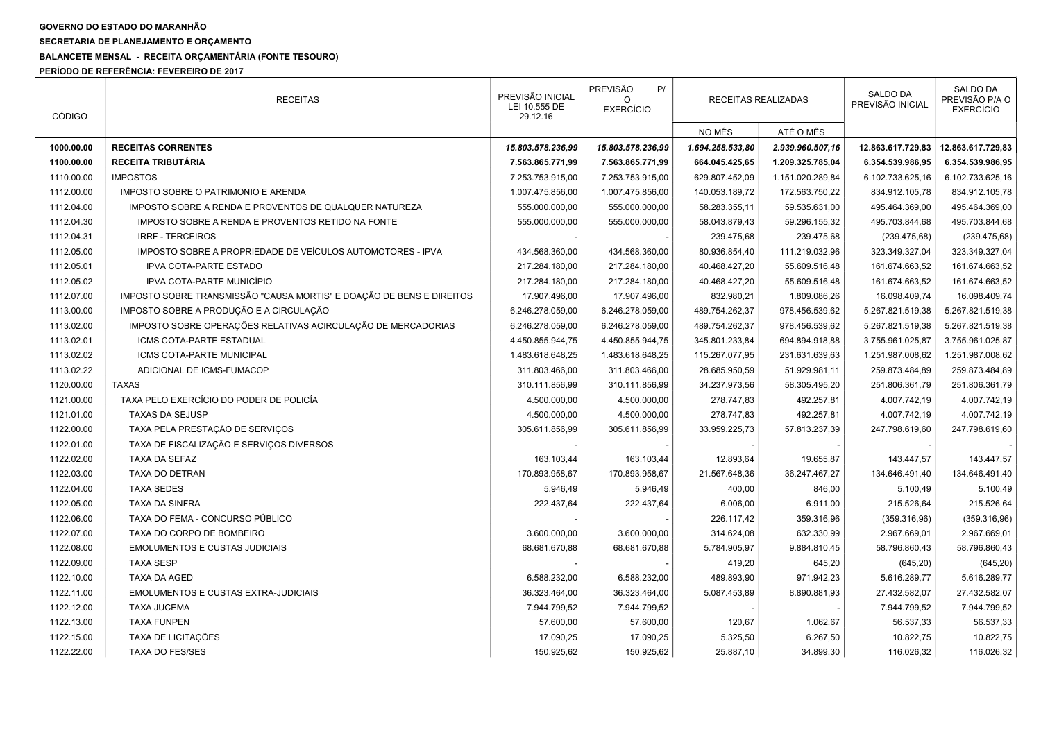## GOVERNO DO ESTADO DO MARANHÃO

SECRETARIA DE PLANEJAMENTO E ORÇAMENTO

## BALANCETE MENSAL - RECEITA ORÇAMENTÁRIA (FONTE TESOURO)

PERÍODO DE REFERÊNCIA: FEVEREIRO DE 2017

| <b>CÓDIGO</b> | <b>RECEITAS</b>                                                      | PREVISÃO INICIAL<br>LEI 10.555 DE<br>29.12.16 | PREVISÃO<br>P/<br><b>EXERCÍCIO</b> | RECEITAS REALIZADAS |                  | SALDO DA<br>PREVISÃO INICIAL | SALDO DA<br>PREVISÃO P/A O<br><b>EXERCÍCIO</b> |
|---------------|----------------------------------------------------------------------|-----------------------------------------------|------------------------------------|---------------------|------------------|------------------------------|------------------------------------------------|
|               |                                                                      |                                               |                                    | NO MÊS              | ATÉ O MÊS        |                              |                                                |
| 1000.00.00    | <b>RECEITAS CORRENTES</b>                                            | 15.803.578.236,99                             | 15.803.578.236,99                  | 1.694.258.533,80    | 2.939.960.507,16 | 12.863.617.729,83            | 12.863.617.729,83                              |
| 1100.00.00    | <b>RECEITA TRIBUTÁRIA</b>                                            | 7.563.865.771,99                              | 7.563.865.771,99                   | 664.045.425,65      | 1.209.325.785,04 | 6.354.539.986,95             | 6.354.539.986,95                               |
| 1110.00.00    | <b>IMPOSTOS</b>                                                      | 7.253.753.915,00                              | 7.253.753.915,00                   | 629.807.452,09      | 1.151.020.289,84 | 6.102.733.625,16             | 6.102.733.625,16                               |
| 1112.00.00    | IMPOSTO SOBRE O PATRIMONIO E ARENDA                                  | 1.007.475.856,00                              | 1.007.475.856,00                   | 140.053.189,72      | 172.563.750,22   | 834.912.105,78               | 834.912.105,78                                 |
| 1112.04.00    | IMPOSTO SOBRE A RENDA E PROVENTOS DE QUALQUER NATUREZA               | 555.000.000,00                                | 555.000.000,00                     | 58.283.355,11       | 59.535.631,00    | 495.464.369,00               | 495.464.369,00                                 |
| 1112.04.30    | IMPOSTO SOBRE A RENDA E PROVENTOS RETIDO NA FONTE                    | 555.000.000,00                                | 555.000.000,00                     | 58.043.879,43       | 59.296.155,32    | 495.703.844,68               | 495.703.844,68                                 |
| 1112.04.31    | <b>IRRF - TERCEIROS</b>                                              |                                               |                                    | 239.475,68          | 239.475,68       | (239.475,68)                 | (239.475, 68)                                  |
| 1112.05.00    | IMPOSTO SOBRE A PROPRIEDADE DE VEÍCULOS AUTOMOTORES - IPVA           | 434.568.360,00                                | 434.568.360,00                     | 80.936.854,40       | 111.219.032,96   | 323.349.327,04               | 323.349.327,04                                 |
| 1112.05.01    | <b>IPVA COTA-PARTE ESTADO</b>                                        | 217.284.180,00                                | 217.284.180,00                     | 40.468.427,20       | 55.609.516,48    | 161.674.663,52               | 161.674.663,52                                 |
| 1112.05.02    | IPVA COTA-PARTE MUNICÍPIO                                            | 217.284.180,00                                | 217.284.180,00                     | 40.468.427,20       | 55.609.516,48    | 161.674.663,52               | 161.674.663,52                                 |
| 1112.07.00    | IMPOSTO SOBRE TRANSMISSÃO "CAUSA MORTIS" E DOAÇÃO DE BENS E DIREITOS | 17.907.496,00                                 | 17.907.496,00                      | 832.980,21          | 1.809.086,26     | 16.098.409,74                | 16.098.409,74                                  |
| 1113.00.00    | IMPOSTO SOBRE A PRODUÇÃO E A CIRCULAÇÃO                              | 6.246.278.059,00                              | 6.246.278.059,00                   | 489.754.262,37      | 978.456.539,62   | 5.267.821.519,38             | 5.267.821.519,38                               |
| 1113.02.00    | IMPOSTO SOBRE OPERAÇÕES RELATIVAS ACIRCULAÇÃO DE MERCADORIAS         | 6.246.278.059,00                              | 6.246.278.059,00                   | 489.754.262,37      | 978.456.539,62   | 5.267.821.519,38             | 5.267.821.519,38                               |
| 1113.02.01    | ICMS COTA-PARTE ESTADUAL                                             | 4.450.855.944,75                              | 4.450.855.944,75                   | 345.801.233,84      | 694.894.918,88   | 3.755.961.025,87             | 3.755.961.025,87                               |
| 1113.02.02    | ICMS COTA-PARTE MUNICIPAL                                            | 1.483.618.648,25                              | 1.483.618.648,25                   | 115.267.077,95      | 231.631.639,63   | 1.251.987.008,62             | 1.251.987.008,62                               |
| 1113.02.22    | ADICIONAL DE ICMS-FUMACOP                                            | 311.803.466,00                                | 311.803.466,00                     | 28.685.950,59       | 51.929.981,11    | 259.873.484,89               | 259.873.484,89                                 |
| 1120.00.00    | <b>TAXAS</b>                                                         | 310.111.856,99                                | 310.111.856,99                     | 34.237.973,56       | 58.305.495,20    | 251.806.361,79               | 251.806.361,79                                 |
| 1121.00.00    | TAXA PELO EXERCÍCIO DO PODER DE POLICÍA                              | 4.500.000,00                                  | 4.500.000,00                       | 278.747,83          | 492.257,81       | 4.007.742,19                 | 4.007.742,19                                   |
| 1121.01.00    | <b>TAXAS DA SEJUSP</b>                                               | 4.500.000,00                                  | 4.500.000,00                       | 278.747,83          | 492.257,81       | 4.007.742,19                 | 4.007.742,19                                   |
| 1122.00.00    | TAXA PELA PRESTAÇÃO DE SERVIÇOS                                      | 305.611.856,99                                | 305.611.856,99                     | 33.959.225,73       | 57.813.237,39    | 247.798.619,60               | 247.798.619,60                                 |
| 1122.01.00    | TAXA DE FISCALIZAÇÃO E SERVIÇOS DIVERSOS                             |                                               |                                    |                     |                  |                              |                                                |
| 1122.02.00    | TAXA DA SEFAZ                                                        | 163.103,44                                    | 163.103,44                         | 12.893,64           | 19.655,87        | 143.447,57                   | 143.447,57                                     |
| 1122.03.00    | TAXA DO DETRAN                                                       | 170.893.958,67                                | 170.893.958,67                     | 21.567.648,36       | 36.247.467,27    | 134.646.491,40               | 134.646.491,40                                 |
| 1122.04.00    | <b>TAXA SEDES</b>                                                    | 5.946,49                                      | 5.946,49                           | 400,00              | 846,00           | 5.100,49                     | 5.100,49                                       |
| 1122.05.00    | <b>TAXA DA SINFRA</b>                                                | 222.437,64                                    | 222.437,64                         | 6.006,00            | 6.911,00         | 215.526,64                   | 215.526,64                                     |
| 1122.06.00    | TAXA DO FEMA - CONCURSO PÚBLICO                                      |                                               |                                    | 226.117,42          | 359.316,96       | (359.316,96)                 | (359.316,96)                                   |
| 1122.07.00    | TAXA DO CORPO DE BOMBEIRO                                            | 3.600.000,00                                  | 3.600.000,00                       | 314.624,08          | 632.330,99       | 2.967.669,01                 | 2.967.669,01                                   |
| 1122.08.00    | <b>EMOLUMENTOS E CUSTAS JUDICIAIS</b>                                | 68.681.670,88                                 | 68.681.670,88                      | 5.784.905,97        | 9.884.810,45     | 58.796.860,43                | 58.796.860,43                                  |
| 1122.09.00    | <b>TAXA SESP</b>                                                     |                                               |                                    | 419,20              | 645,20           | (645, 20)                    | (645, 20)                                      |
| 1122.10.00    | <b>TAXA DA AGED</b>                                                  | 6.588.232,00                                  | 6.588.232,00                       | 489.893,90          | 971.942,23       | 5.616.289,77                 | 5.616.289,77                                   |
| 1122.11.00    | <b>EMOLUMENTOS E CUSTAS EXTRA-JUDICIAIS</b>                          | 36.323.464,00                                 | 36.323.464,00                      | 5.087.453,89        | 8.890.881,93     | 27.432.582,07                | 27.432.582,07                                  |
| 1122.12.00    | <b>TAXA JUCEMA</b>                                                   | 7.944.799,52                                  | 7.944.799,52                       |                     |                  | 7.944.799,52                 | 7.944.799,52                                   |
| 1122.13.00    | <b>TAXA FUNPEN</b>                                                   | 57.600,00                                     | 57.600,00                          | 120,67              | 1.062,67         | 56.537,33                    | 56.537,33                                      |
| 1122.15.00    | TAXA DE LICITAÇÕES                                                   | 17.090,25                                     | 17.090,25                          | 5.325,50            | 6.267,50         | 10.822,75                    | 10.822,75                                      |
| 1122.22.00    | <b>TAXA DO FES/SES</b>                                               | 150.925,62                                    | 150.925,62                         | 25.887,10           | 34.899,30        | 116.026,32                   | 116.026,32                                     |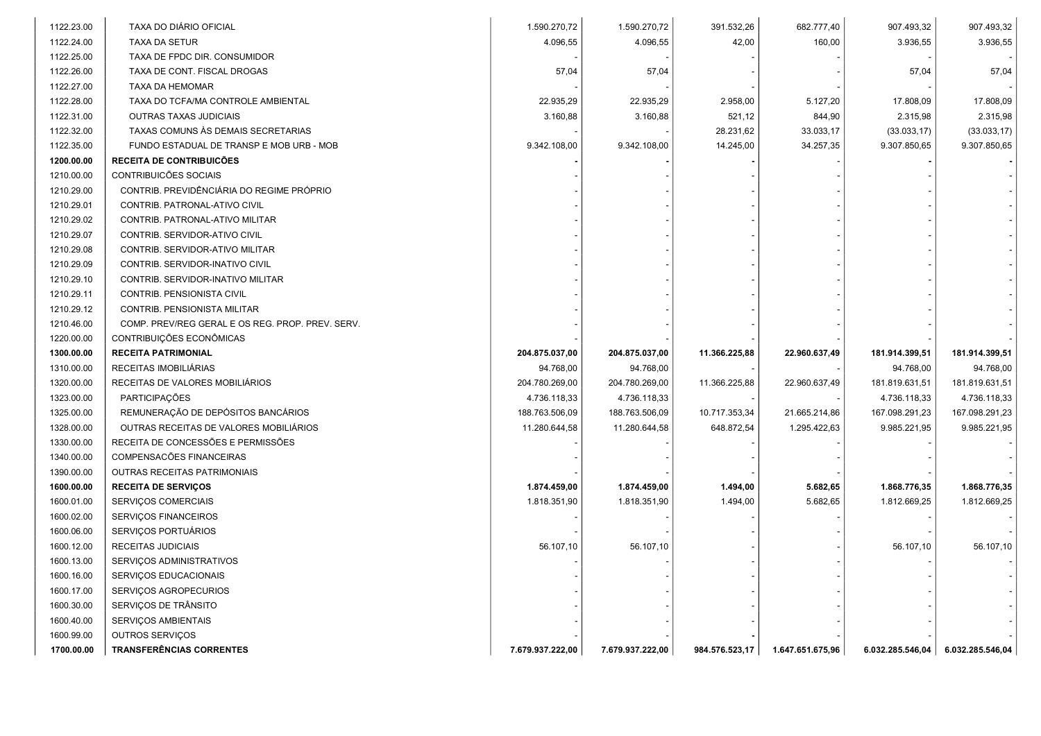| 1122.23.00 | TAXA DO DIÁRIO OFICIAL                           | 1.590.270,72     | 1.590.270,72     | 391.532,26     | 682.777,40       | 907.493,32       | 907.493,32       |
|------------|--------------------------------------------------|------------------|------------------|----------------|------------------|------------------|------------------|
| 1122.24.00 | <b>TAXA DA SETUR</b>                             | 4.096,55         | 4.096,55         | 42,00          | 160,00           | 3.936,55         | 3.936,55         |
| 1122.25.00 | TAXA DE FPDC DIR. CONSUMIDOR                     |                  |                  |                |                  |                  |                  |
| 1122.26.00 | TAXA DE CONT. FISCAL DROGAS                      | 57,04            | 57,04            |                |                  | 57,04            | 57,04            |
| 1122.27.00 | TAXA DA HEMOMAR                                  |                  |                  |                |                  |                  |                  |
| 1122.28.00 | TAXA DO TCFA/MA CONTROLE AMBIENTAL               | 22.935,29        | 22.935,29        | 2.958,00       | 5.127,20         | 17.808,09        | 17.808,09        |
| 1122.31.00 | <b>OUTRAS TAXAS JUDICIAIS</b>                    | 3.160,88         | 3.160,88         | 521,12         | 844,90           | 2.315,98         | 2.315,98         |
| 1122.32.00 | TAXAS COMUNS ÀS DEMAIS SECRETARIAS               |                  |                  | 28.231,62      | 33.033,17        | (33.033, 17)     | (33.033, 17)     |
| 1122.35.00 | FUNDO ESTADUAL DE TRANSP E MOB URB - MOB         | 9.342.108,00     | 9.342.108,00     | 14.245,00      | 34.257,35        | 9.307.850,65     | 9.307.850,65     |
| 1200.00.00 | RECEITA DE CONTRIBUICÕES                         |                  |                  |                |                  |                  |                  |
| 1210.00.00 | CONTRIBUICÕES SOCIAIS                            |                  |                  |                |                  |                  |                  |
| 1210.29.00 | CONTRIB. PREVIDÊNCIÁRIA DO REGIME PRÓPRIO        |                  |                  |                |                  |                  |                  |
| 1210.29.01 | CONTRIB. PATRONAL-ATIVO CIVIL                    |                  |                  |                |                  |                  |                  |
| 1210.29.02 | CONTRIB. PATRONAL-ATIVO MILITAR                  |                  |                  |                |                  |                  |                  |
| 1210.29.07 | CONTRIB. SERVIDOR-ATIVO CIVIL                    |                  |                  |                |                  |                  |                  |
| 1210.29.08 | CONTRIB. SERVIDOR-ATIVO MILITAR                  |                  |                  |                |                  |                  |                  |
| 1210.29.09 | CONTRIB. SERVIDOR-INATIVO CIVIL                  |                  |                  |                |                  |                  |                  |
| 1210.29.10 | CONTRIB. SERVIDOR-INATIVO MILITAR                |                  |                  |                |                  |                  |                  |
| 1210.29.11 | CONTRIB. PENSIONISTA CIVIL                       |                  |                  |                |                  |                  |                  |
| 1210.29.12 | CONTRIB. PENSIONISTA MILITAR                     |                  |                  |                |                  |                  |                  |
| 1210.46.00 | COMP. PREV/REG GERAL E OS REG. PROP. PREV. SERV. |                  |                  |                |                  |                  |                  |
| 1220.00.00 | CONTRIBUIÇÕES ECONÔMICAS                         |                  |                  |                |                  |                  |                  |
| 1300.00.00 | <b>RECEITA PATRIMONIAL</b>                       | 204.875.037,00   | 204.875.037,00   | 11.366.225,88  | 22.960.637,49    | 181.914.399,51   | 181.914.399,51   |
| 1310.00.00 | RECEITAS IMOBILIÁRIAS                            | 94.768,00        | 94.768,00        |                |                  | 94.768,00        | 94.768,00        |
| 1320.00.00 | RECEITAS DE VALORES MOBILIÁRIOS                  | 204.780.269,00   | 204.780.269,00   | 11.366.225,88  | 22.960.637,49    | 181.819.631,51   | 181.819.631,51   |
| 1323.00.00 | PARTICIPAÇÕES                                    | 4.736.118,33     | 4.736.118,33     |                |                  | 4.736.118,33     | 4.736.118,33     |
| 1325.00.00 | REMUNERAÇÃO DE DEPÓSITOS BANCÁRIOS               | 188.763.506,09   | 188.763.506,09   | 10.717.353,34  | 21.665.214,86    | 167.098.291,23   | 167.098.291,23   |
| 1328.00.00 | OUTRAS RECEITAS DE VALORES MOBILIÁRIOS           | 11.280.644,58    | 11.280.644,58    | 648.872,54     | 1.295.422,63     | 9.985.221,95     | 9.985.221,95     |
| 1330.00.00 | RECEITA DE CONCESSÕES E PERMISSÕES               |                  |                  |                |                  |                  |                  |
| 1340.00.00 | COMPENSACÕES FINANCEIRAS                         |                  |                  |                |                  |                  |                  |
| 1390.00.00 | OUTRAS RECEITAS PATRIMONIAIS                     |                  |                  |                |                  |                  |                  |
| 1600.00.00 | <b>RECEITA DE SERVIÇOS</b>                       | 1.874.459,00     | 1.874.459,00     | 1.494,00       | 5.682,65         | 1.868.776,35     | 1.868.776,35     |
| 1600.01.00 | <b>SERVIÇOS COMERCIAIS</b>                       | 1.818.351,90     | 1.818.351,90     | 1.494,00       | 5.682,65         | 1.812.669,25     | 1.812.669,25     |
| 1600.02.00 | SERVIÇOS FINANCEIROS                             |                  |                  |                |                  |                  |                  |
| 1600.06.00 | SERVIÇOS PORTUÁRIOS                              |                  |                  |                |                  |                  |                  |
| 1600.12.00 | RECEITAS JUDICIAIS                               | 56.107,10        | 56.107,10        |                |                  | 56.107,10        | 56.107,10        |
| 1600.13.00 | SERVIÇOS ADMINISTRATIVOS                         |                  |                  |                |                  |                  |                  |
| 1600.16.00 | SERVICOS EDUCACIONAIS                            |                  |                  |                |                  |                  |                  |
| 1600.17.00 | SERVICOS AGROPECURIOS                            |                  |                  |                |                  |                  |                  |
| 1600.30.00 | SERVIÇOS DE TRÂNSITO                             |                  |                  |                |                  |                  |                  |
| 1600.40.00 | SERVIÇOS AMBIENTAIS                              |                  |                  |                |                  |                  |                  |
| 1600.99.00 | OUTROS SERVIÇOS                                  |                  |                  |                |                  |                  |                  |
| 1700.00.00 | <b>TRANSFERÊNCIAS CORRENTES</b>                  | 7.679.937.222,00 | 7.679.937.222,00 | 984.576.523,17 | 1.647.651.675,96 | 6.032.285.546,04 | 6.032.285.546,04 |
|            |                                                  |                  |                  |                |                  |                  |                  |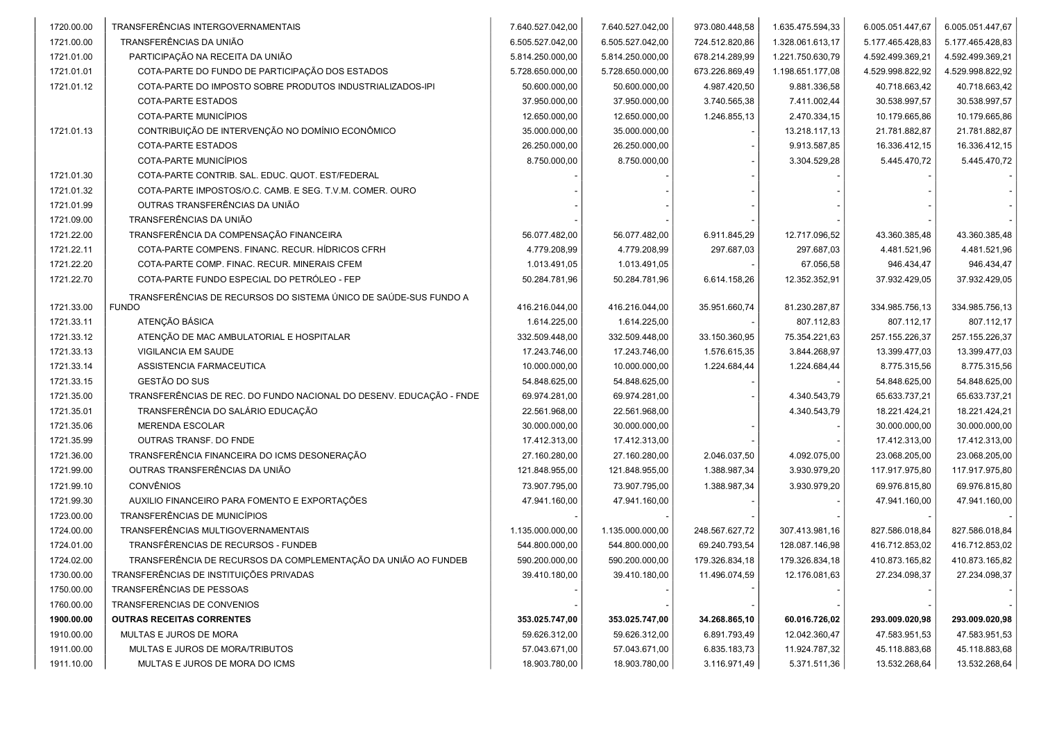| 1720.00.00 | TRANSFERÊNCIAS INTERGOVERNAMENTAIS                                  | 7.640.527.042,00 | 7.640.527.042,00 | 973.080.448,58 | 1.635.475.594,33 | 6.005.051.447,67 | 6.005.051.447,67 |
|------------|---------------------------------------------------------------------|------------------|------------------|----------------|------------------|------------------|------------------|
| 1721.00.00 | TRANSFERÊNCIAS DA UNIÃO                                             | 6.505.527.042,00 | 6.505.527.042,00 | 724.512.820,86 | 1.328.061.613,17 | 5.177.465.428,83 | 5.177.465.428,83 |
| 1721.01.00 | PARTICIPAÇÃO NA RECEITA DA UNIÃO                                    | 5.814.250.000,00 | 5.814.250.000,00 | 678.214.289,99 | 1.221.750.630,79 | 4.592.499.369,21 | 4.592.499.369,21 |
| 1721.01.01 | COTA-PARTE DO FUNDO DE PARTICIPAÇÃO DOS ESTADOS                     | 5.728.650.000,00 | 5.728.650.000,00 | 673.226.869,49 | 1.198.651.177,08 | 4.529.998.822,92 | 4.529.998.822,92 |
| 1721.01.12 | COTA-PARTE DO IMPOSTO SOBRE PRODUTOS INDUSTRIALIZADOS-IPI           | 50.600.000,00    | 50.600.000,00    | 4.987.420,50   | 9.881.336,58     | 40.718.663,42    | 40.718.663,42    |
|            | COTA-PARTE ESTADOS                                                  | 37.950.000,00    | 37.950.000,00    | 3.740.565,38   | 7.411.002,44     | 30.538.997,57    | 30.538.997,57    |
|            | COTA-PARTE MUNICÍPIOS                                               | 12.650.000,00    | 12.650.000,00    | 1.246.855,13   | 2.470.334,15     | 10.179.665,86    | 10.179.665,86    |
| 1721.01.13 | CONTRIBUIÇÃO DE INTERVENÇÃO NO DOMÍNIO ECONÔMICO                    | 35.000.000,00    | 35.000.000,00    |                | 13.218.117,13    | 21.781.882,87    | 21.781.882,87    |
|            | COTA-PARTE ESTADOS                                                  | 26.250.000,00    | 26.250.000,00    |                | 9.913.587,85     | 16.336.412,15    | 16.336.412,15    |
|            | COTA-PARTE MUNICÍPIOS                                               | 8.750.000,00     | 8.750.000,00     |                | 3.304.529,28     | 5.445.470,72     | 5.445.470,72     |
| 1721.01.30 | COTA-PARTE CONTRIB. SAL. EDUC. QUOT. EST/FEDERAL                    |                  |                  |                |                  |                  |                  |
| 1721.01.32 | COTA-PARTE IMPOSTOS/O.C. CAMB. E SEG. T.V.M. COMER. OURO            |                  |                  |                |                  |                  |                  |
| 1721.01.99 | OUTRAS TRANSFERÊNCIAS DA UNIÃO                                      |                  |                  |                |                  |                  |                  |
| 1721.09.00 | TRANSFERÊNCIAS DA UNIÃO                                             |                  |                  |                |                  |                  |                  |
| 1721.22.00 | TRANSFERÊNCIA DA COMPENSAÇÃO FINANCEIRA                             | 56.077.482,00    | 56.077.482,00    | 6.911.845,29   | 12.717.096,52    | 43.360.385,48    | 43.360.385,48    |
| 1721.22.11 | COTA-PARTE COMPENS. FINANC. RECUR. HÍDRICOS CFRH                    | 4.779.208,99     | 4.779.208,99     | 297.687,03     | 297.687,03       | 4.481.521,96     | 4.481.521,96     |
| 1721.22.20 | COTA-PARTE COMP. FINAC. RECUR. MINERAIS CFEM                        | 1.013.491,05     | 1.013.491,05     |                | 67.056,58        | 946.434,47       | 946.434,47       |
| 1721.22.70 | COTA-PARTE FUNDO ESPECIAL DO PETRÓLEO - FEP                         | 50.284.781,96    | 50.284.781,96    | 6.614.158,26   | 12.352.352,91    | 37.932.429,05    | 37.932.429,05    |
|            | TRANSFERÊNCIAS DE RECURSOS DO SISTEMA ÚNICO DE SAÚDE-SUS FUNDO A    |                  |                  |                |                  |                  |                  |
| 1721.33.00 | <b>FUNDO</b>                                                        | 416.216.044,00   | 416.216.044,00   | 35.951.660,74  | 81.230.287,87    | 334.985.756,13   | 334.985.756,13   |
| 1721.33.11 | ATENÇÃO BÁSICA                                                      | 1.614.225,00     | 1.614.225,00     |                | 807.112,83       | 807.112,17       | 807.112,17       |
| 1721.33.12 | ATENÇÃO DE MAC AMBULATORIAL E HOSPITALAR                            | 332.509.448,00   | 332.509.448,00   | 33.150.360,95  | 75.354.221,63    | 257.155.226,37   | 257.155.226,37   |
| 1721.33.13 | VIGILANCIA EM SAUDE                                                 | 17.243.746,00    | 17.243.746,00    | 1.576.615,35   | 3.844.268,97     | 13.399.477,03    | 13.399.477,03    |
| 1721.33.14 | ASSISTENCIA FARMACEUTICA                                            | 10.000.000,00    | 10.000.000,00    | 1.224.684,44   | 1.224.684,44     | 8.775.315,56     | 8.775.315,56     |
| 1721.33.15 | GESTÃO DO SUS                                                       | 54.848.625,00    | 54.848.625,00    |                |                  | 54.848.625,00    | 54.848.625,00    |
| 1721.35.00 | TRANSFERÊNCIAS DE REC. DO FUNDO NACIONAL DO DESENV. EDUCAÇÃO - FNDE | 69.974.281,00    | 69.974.281,00    |                | 4.340.543,79     | 65.633.737,21    | 65.633.737,21    |
| 1721.35.01 | TRANSFERÊNCIA DO SALÁRIO EDUCAÇÃO                                   | 22.561.968,00    | 22.561.968,00    |                | 4.340.543,79     | 18.221.424,21    | 18.221.424,21    |
| 1721.35.06 | <b>MERENDA ESCOLAR</b>                                              | 30.000.000,00    | 30.000.000,00    |                |                  | 30.000.000,00    | 30.000.000,00    |
| 1721.35.99 | OUTRAS TRANSF. DO FNDE                                              | 17.412.313,00    | 17.412.313,00    |                |                  | 17.412.313,00    | 17.412.313,00    |
| 1721.36.00 | TRANSFERÊNCIA FINANCEIRA DO ICMS DESONERAÇÃO                        | 27.160.280,00    | 27.160.280,00    | 2.046.037,50   | 4.092.075,00     | 23.068.205,00    | 23.068.205,00    |
| 1721.99.00 | OUTRAS TRANSFERÊNCIAS DA UNIÃO                                      | 121.848.955,00   | 121.848.955,00   | 1.388.987,34   | 3.930.979,20     | 117.917.975,80   | 117.917.975,80   |
| 1721.99.10 | <b>CONVÊNIOS</b>                                                    | 73.907.795,00    | 73.907.795,00    | 1.388.987,34   | 3.930.979,20     | 69.976.815,80    | 69.976.815,80    |
| 1721.99.30 | AUXILIO FINANCEIRO PARA FOMENTO E EXPORTAÇÕES                       | 47.941.160,00    | 47.941.160,00    |                |                  | 47.941.160,00    | 47.941.160,00    |
| 1723.00.00 | <b>TRANSFERÊNCIAS DE MUNICÍPIOS</b>                                 |                  |                  |                |                  |                  |                  |
| 1724.00.00 | TRANSFERÊNCIAS MULTIGOVERNAMENTAIS                                  | 1.135.000.000,00 | 1.135.000.000,00 | 248.567.627,72 | 307.413.981,16   | 827.586.018,84   | 827.586.018,84   |
| 1724.01.00 | TRANSFÊRENCIAS DE RECURSOS - FUNDEB                                 | 544.800.000,00   | 544.800.000,00   | 69.240.793,54  | 128.087.146,98   | 416.712.853,02   | 416.712.853,02   |
| 1724.02.00 | TRANSFERÊNCIA DE RECURSOS DA COMPLEMENTAÇÃO DA UNIÃO AO FUNDEB      | 590.200.000,00   | 590.200.000,00   | 179.326.834,18 | 179.326.834,18   | 410.873.165,82   | 410.873.165,82   |
| 1730.00.00 | TRANSFERÊNCIAS DE INSTITUIÇÕES PRIVADAS                             | 39.410.180,00    | 39.410.180,00    | 11.496.074,59  | 12.176.081,63    | 27.234.098,37    | 27.234.098,37    |
| 1750.00.00 | TRANSFERÊNCIAS DE PESSOAS                                           |                  |                  |                |                  |                  |                  |
| 1760.00.00 | TRANSFERENCIAS DE CONVENIOS                                         |                  |                  |                |                  |                  |                  |
| 1900.00.00 | <b>OUTRAS RECEITAS CORRENTES</b>                                    | 353.025.747,00   | 353.025.747,00   | 34.268.865,10  | 60.016.726,02    | 293.009.020,98   | 293.009.020,98   |
| 1910.00.00 | MULTAS E JUROS DE MORA                                              | 59.626.312,00    | 59.626.312,00    | 6.891.793,49   | 12.042.360,47    | 47.583.951,53    | 47.583.951,53    |
| 1911.00.00 | MULTAS E JUROS DE MORA/TRIBUTOS                                     | 57.043.671,00    | 57.043.671,00    | 6.835.183,73   | 11.924.787,32    | 45.118.883,68    | 45.118.883,68    |
| 1911.10.00 | MULTAS E JUROS DE MORA DO ICMS                                      | 18.903.780,00    | 18.903.780,00    | 3.116.971,49   | 5.371.511,36     | 13.532.268,64    | 13.532.268,64    |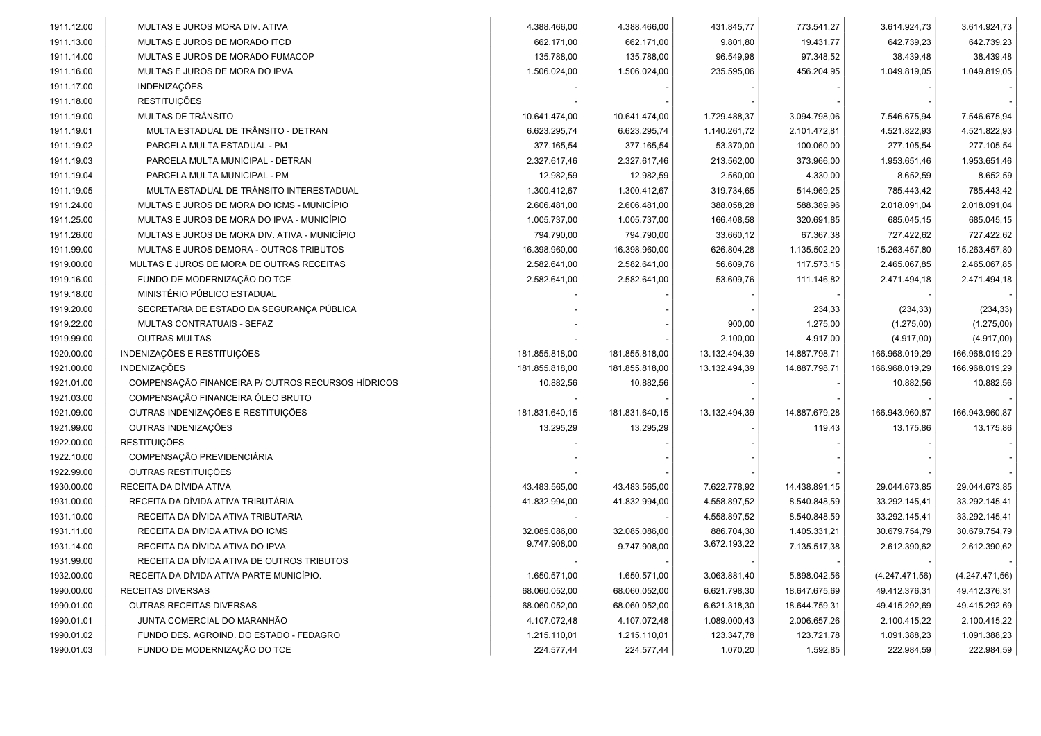| 4.388.466,00<br>4.388.466,00<br>431.845,77<br>773.541,27<br>3.614.924,73<br>1911.12.00<br>MULTAS E JUROS MORA DIV. ATIVA<br>9.801,80<br>19.431,77<br>1911.13.00<br>MULTAS E JUROS DE MORADO ITCD<br>662.171,00<br>662.171,00<br>642.739,23<br>135.788,00<br>96.549,98<br>97.348,52<br>38.439,48<br>1911.14.00<br>MULTAS E JUROS DE MORADO FUMACOP<br>135.788,00<br>1911.16.00<br>MULTAS E JUROS DE MORA DO IPVA<br>1.506.024,00<br>1.506.024,00<br>235.595,06<br>456.204,95<br>1.049.819,05<br><b>INDENIZAÇÕES</b><br>1911.17.00<br><b>RESTITUIÇÕES</b><br>1911.18.00<br>MULTAS DE TRÂNSITO<br>10.641.474,00<br>3.094.798,06<br>1911.19.00<br>10.641.474,00<br>1.729.488,37<br>7.546.675,94<br>MULTA ESTADUAL DE TRÂNSITO - DETRAN<br>6.623.295,74<br>2.101.472,81<br>1911.19.01<br>6.623.295,74<br>1.140.261,72<br>4.521.822,93<br>1911.19.02<br>377.165,54<br>377.165,54<br>53.370,00<br>100.060,00<br>277.105,54<br>PARCELA MULTA ESTADUAL - PM<br>213.562,00<br>373.966,00<br>1911.19.03<br>PARCELA MULTA MUNICIPAL - DETRAN<br>2.327.617,46<br>2.327.617,46<br>1.953.651,46<br>2.560,00<br>4.330,00<br>1911.19.04<br>PARCELA MULTA MUNICIPAL - PM<br>12.982,59<br>12.982,59<br>8.652,59<br>MULTA ESTADUAL DE TRÂNSITO INTERESTADUAL<br>514.969,25<br>785.443,42<br>1911.19.05<br>1.300.412,67<br>1.300.412,67<br>319.734,65<br>1911.24.00<br>MULTAS E JUROS DE MORA DO ICMS - MUNICÍPIO<br>2.606.481,00<br>2.606.481,00<br>388.058,28<br>588.389,96<br>2.018.091,04<br>320.691,85<br>1911.25.00<br>MULTAS E JUROS DE MORA DO IPVA - MUNICÍPIO<br>1.005.737,00<br>1.005.737,00<br>166.408,58<br>685.045,15<br>1911.26.00<br>794.790,00<br>794.790,00<br>33.660,12<br>67.367,38<br>727.422,62<br>MULTAS E JUROS DE MORA DIV. ATIVA - MUNICÍPIO<br>16.398.960,00<br>16.398.960,00<br>626.804,28<br>15.263.457,80<br>1911.99.00<br>MULTAS E JUROS DEMORA - OUTROS TRIBUTOS<br>1.135.502,20 |                |
|---------------------------------------------------------------------------------------------------------------------------------------------------------------------------------------------------------------------------------------------------------------------------------------------------------------------------------------------------------------------------------------------------------------------------------------------------------------------------------------------------------------------------------------------------------------------------------------------------------------------------------------------------------------------------------------------------------------------------------------------------------------------------------------------------------------------------------------------------------------------------------------------------------------------------------------------------------------------------------------------------------------------------------------------------------------------------------------------------------------------------------------------------------------------------------------------------------------------------------------------------------------------------------------------------------------------------------------------------------------------------------------------------------------------------------------------------------------------------------------------------------------------------------------------------------------------------------------------------------------------------------------------------------------------------------------------------------------------------------------------------------------------------------------------------------------------------------------------------------------------------------------------|----------------|
|                                                                                                                                                                                                                                                                                                                                                                                                                                                                                                                                                                                                                                                                                                                                                                                                                                                                                                                                                                                                                                                                                                                                                                                                                                                                                                                                                                                                                                                                                                                                                                                                                                                                                                                                                                                                                                                                                             | 3.614.924,73   |
|                                                                                                                                                                                                                                                                                                                                                                                                                                                                                                                                                                                                                                                                                                                                                                                                                                                                                                                                                                                                                                                                                                                                                                                                                                                                                                                                                                                                                                                                                                                                                                                                                                                                                                                                                                                                                                                                                             | 642.739,23     |
|                                                                                                                                                                                                                                                                                                                                                                                                                                                                                                                                                                                                                                                                                                                                                                                                                                                                                                                                                                                                                                                                                                                                                                                                                                                                                                                                                                                                                                                                                                                                                                                                                                                                                                                                                                                                                                                                                             | 38.439,48      |
|                                                                                                                                                                                                                                                                                                                                                                                                                                                                                                                                                                                                                                                                                                                                                                                                                                                                                                                                                                                                                                                                                                                                                                                                                                                                                                                                                                                                                                                                                                                                                                                                                                                                                                                                                                                                                                                                                             | 1.049.819,05   |
|                                                                                                                                                                                                                                                                                                                                                                                                                                                                                                                                                                                                                                                                                                                                                                                                                                                                                                                                                                                                                                                                                                                                                                                                                                                                                                                                                                                                                                                                                                                                                                                                                                                                                                                                                                                                                                                                                             |                |
|                                                                                                                                                                                                                                                                                                                                                                                                                                                                                                                                                                                                                                                                                                                                                                                                                                                                                                                                                                                                                                                                                                                                                                                                                                                                                                                                                                                                                                                                                                                                                                                                                                                                                                                                                                                                                                                                                             |                |
|                                                                                                                                                                                                                                                                                                                                                                                                                                                                                                                                                                                                                                                                                                                                                                                                                                                                                                                                                                                                                                                                                                                                                                                                                                                                                                                                                                                                                                                                                                                                                                                                                                                                                                                                                                                                                                                                                             | 7.546.675,94   |
|                                                                                                                                                                                                                                                                                                                                                                                                                                                                                                                                                                                                                                                                                                                                                                                                                                                                                                                                                                                                                                                                                                                                                                                                                                                                                                                                                                                                                                                                                                                                                                                                                                                                                                                                                                                                                                                                                             | 4.521.822,93   |
|                                                                                                                                                                                                                                                                                                                                                                                                                                                                                                                                                                                                                                                                                                                                                                                                                                                                                                                                                                                                                                                                                                                                                                                                                                                                                                                                                                                                                                                                                                                                                                                                                                                                                                                                                                                                                                                                                             | 277.105,54     |
|                                                                                                                                                                                                                                                                                                                                                                                                                                                                                                                                                                                                                                                                                                                                                                                                                                                                                                                                                                                                                                                                                                                                                                                                                                                                                                                                                                                                                                                                                                                                                                                                                                                                                                                                                                                                                                                                                             | 1.953.651,46   |
|                                                                                                                                                                                                                                                                                                                                                                                                                                                                                                                                                                                                                                                                                                                                                                                                                                                                                                                                                                                                                                                                                                                                                                                                                                                                                                                                                                                                                                                                                                                                                                                                                                                                                                                                                                                                                                                                                             | 8.652,59       |
|                                                                                                                                                                                                                                                                                                                                                                                                                                                                                                                                                                                                                                                                                                                                                                                                                                                                                                                                                                                                                                                                                                                                                                                                                                                                                                                                                                                                                                                                                                                                                                                                                                                                                                                                                                                                                                                                                             | 785.443,42     |
|                                                                                                                                                                                                                                                                                                                                                                                                                                                                                                                                                                                                                                                                                                                                                                                                                                                                                                                                                                                                                                                                                                                                                                                                                                                                                                                                                                                                                                                                                                                                                                                                                                                                                                                                                                                                                                                                                             | 2.018.091,04   |
|                                                                                                                                                                                                                                                                                                                                                                                                                                                                                                                                                                                                                                                                                                                                                                                                                                                                                                                                                                                                                                                                                                                                                                                                                                                                                                                                                                                                                                                                                                                                                                                                                                                                                                                                                                                                                                                                                             | 685.045,15     |
|                                                                                                                                                                                                                                                                                                                                                                                                                                                                                                                                                                                                                                                                                                                                                                                                                                                                                                                                                                                                                                                                                                                                                                                                                                                                                                                                                                                                                                                                                                                                                                                                                                                                                                                                                                                                                                                                                             | 727.422,62     |
|                                                                                                                                                                                                                                                                                                                                                                                                                                                                                                                                                                                                                                                                                                                                                                                                                                                                                                                                                                                                                                                                                                                                                                                                                                                                                                                                                                                                                                                                                                                                                                                                                                                                                                                                                                                                                                                                                             | 15.263.457,80  |
| 1919.00.00<br>2.582.641,00<br>2.582.641,00<br>56.609,76<br>117.573,15<br>2.465.067,85<br>MULTAS E JUROS DE MORA DE OUTRAS RECEITAS                                                                                                                                                                                                                                                                                                                                                                                                                                                                                                                                                                                                                                                                                                                                                                                                                                                                                                                                                                                                                                                                                                                                                                                                                                                                                                                                                                                                                                                                                                                                                                                                                                                                                                                                                          | 2.465.067,85   |
| 1919.16.00<br>FUNDO DE MODERNIZAÇÃO DO TCE<br>2.582.641,00<br>2.582.641,00<br>53.609,76<br>111.146,82<br>2.471.494,18                                                                                                                                                                                                                                                                                                                                                                                                                                                                                                                                                                                                                                                                                                                                                                                                                                                                                                                                                                                                                                                                                                                                                                                                                                                                                                                                                                                                                                                                                                                                                                                                                                                                                                                                                                       | 2.471.494,18   |
| MINISTÉRIO PÚBLICO ESTADUAL<br>1919.18.00                                                                                                                                                                                                                                                                                                                                                                                                                                                                                                                                                                                                                                                                                                                                                                                                                                                                                                                                                                                                                                                                                                                                                                                                                                                                                                                                                                                                                                                                                                                                                                                                                                                                                                                                                                                                                                                   |                |
| 1919.20.00<br>SECRETARIA DE ESTADO DA SEGURANÇA PÚBLICA<br>234,33<br>(234, 33)                                                                                                                                                                                                                                                                                                                                                                                                                                                                                                                                                                                                                                                                                                                                                                                                                                                                                                                                                                                                                                                                                                                                                                                                                                                                                                                                                                                                                                                                                                                                                                                                                                                                                                                                                                                                              | (234, 33)      |
| 1919.22.00<br>900,00<br>(1.275,00)<br>MULTAS CONTRATUAIS - SEFAZ<br>1.275,00                                                                                                                                                                                                                                                                                                                                                                                                                                                                                                                                                                                                                                                                                                                                                                                                                                                                                                                                                                                                                                                                                                                                                                                                                                                                                                                                                                                                                                                                                                                                                                                                                                                                                                                                                                                                                | (1.275,00)     |
| <b>OUTRAS MULTAS</b><br>2.100,00<br>(4.917,00)<br>1919.99.00<br>4.917,00                                                                                                                                                                                                                                                                                                                                                                                                                                                                                                                                                                                                                                                                                                                                                                                                                                                                                                                                                                                                                                                                                                                                                                                                                                                                                                                                                                                                                                                                                                                                                                                                                                                                                                                                                                                                                    | (4.917,00)     |
| INDENIZAÇÕES E RESTITUIÇÕES<br>1920.00.00<br>181.855.818,00<br>181.855.818,00<br>13.132.494,39<br>14.887.798,71<br>166.968.019,29                                                                                                                                                                                                                                                                                                                                                                                                                                                                                                                                                                                                                                                                                                                                                                                                                                                                                                                                                                                                                                                                                                                                                                                                                                                                                                                                                                                                                                                                                                                                                                                                                                                                                                                                                           | 166.968.019,29 |
| 1921.00.00<br><b>INDENIZAÇÕES</b><br>166.968.019,29<br>181.855.818,00<br>181.855.818,00<br>13.132.494,39<br>14.887.798,71                                                                                                                                                                                                                                                                                                                                                                                                                                                                                                                                                                                                                                                                                                                                                                                                                                                                                                                                                                                                                                                                                                                                                                                                                                                                                                                                                                                                                                                                                                                                                                                                                                                                                                                                                                   | 166.968.019,29 |
| 1921.01.00<br>COMPENSAÇÃO FINANCEIRA P/ OUTROS RECURSOS HÍDRICOS<br>10.882,56<br>10.882,56<br>10.882,56                                                                                                                                                                                                                                                                                                                                                                                                                                                                                                                                                                                                                                                                                                                                                                                                                                                                                                                                                                                                                                                                                                                                                                                                                                                                                                                                                                                                                                                                                                                                                                                                                                                                                                                                                                                     | 10.882,56      |
| COMPENSAÇÃO FINANCEIRA ÓLEO BRUTO<br>1921.03.00                                                                                                                                                                                                                                                                                                                                                                                                                                                                                                                                                                                                                                                                                                                                                                                                                                                                                                                                                                                                                                                                                                                                                                                                                                                                                                                                                                                                                                                                                                                                                                                                                                                                                                                                                                                                                                             |                |
| OUTRAS INDENIZAÇÕES E RESTITUIÇÕES<br>1921.09.00<br>13.132.494,39<br>14.887.679,28<br>181.831.640,15<br>181.831.640,15<br>166.943.960,87                                                                                                                                                                                                                                                                                                                                                                                                                                                                                                                                                                                                                                                                                                                                                                                                                                                                                                                                                                                                                                                                                                                                                                                                                                                                                                                                                                                                                                                                                                                                                                                                                                                                                                                                                    | 166.943.960,87 |
| OUTRAS INDENIZAÇÕES<br>1921.99.00<br>13.295,29<br>13.295,29<br>119,43<br>13.175,86                                                                                                                                                                                                                                                                                                                                                                                                                                                                                                                                                                                                                                                                                                                                                                                                                                                                                                                                                                                                                                                                                                                                                                                                                                                                                                                                                                                                                                                                                                                                                                                                                                                                                                                                                                                                          | 13.175,86      |
| <b>RESTITUIÇÕES</b><br>1922.00.00                                                                                                                                                                                                                                                                                                                                                                                                                                                                                                                                                                                                                                                                                                                                                                                                                                                                                                                                                                                                                                                                                                                                                                                                                                                                                                                                                                                                                                                                                                                                                                                                                                                                                                                                                                                                                                                           |                |
| COMPENSAÇÃO PREVIDENCIÁRIA<br>1922.10.00                                                                                                                                                                                                                                                                                                                                                                                                                                                                                                                                                                                                                                                                                                                                                                                                                                                                                                                                                                                                                                                                                                                                                                                                                                                                                                                                                                                                                                                                                                                                                                                                                                                                                                                                                                                                                                                    |                |
| OUTRAS RESTITUIÇÕES<br>1922.99.00                                                                                                                                                                                                                                                                                                                                                                                                                                                                                                                                                                                                                                                                                                                                                                                                                                                                                                                                                                                                                                                                                                                                                                                                                                                                                                                                                                                                                                                                                                                                                                                                                                                                                                                                                                                                                                                           |                |
| RECEITA DA DÍVIDA ATIVA<br>1930.00.00<br>43.483.565,00<br>43.483.565,00<br>7.622.778,92<br>14.438.891,15<br>29.044.673,85                                                                                                                                                                                                                                                                                                                                                                                                                                                                                                                                                                                                                                                                                                                                                                                                                                                                                                                                                                                                                                                                                                                                                                                                                                                                                                                                                                                                                                                                                                                                                                                                                                                                                                                                                                   | 29.044.673,85  |
| RECEITA DA DÍVIDA ATIVA TRIBUTÁRIA<br>1931.00.00<br>41.832.994,00<br>33.292.145,41<br>41.832.994,00<br>4.558.897,52<br>8.540.848,59                                                                                                                                                                                                                                                                                                                                                                                                                                                                                                                                                                                                                                                                                                                                                                                                                                                                                                                                                                                                                                                                                                                                                                                                                                                                                                                                                                                                                                                                                                                                                                                                                                                                                                                                                         | 33.292.145,41  |
| 1931.10.00<br>RECEITA DA DÍVIDA ATIVA TRIBUTARIA<br>4.558.897,52<br>8.540.848,59<br>33.292.145,41                                                                                                                                                                                                                                                                                                                                                                                                                                                                                                                                                                                                                                                                                                                                                                                                                                                                                                                                                                                                                                                                                                                                                                                                                                                                                                                                                                                                                                                                                                                                                                                                                                                                                                                                                                                           | 33.292.145,41  |
| 1931.11.00<br>RECEITA DA DIVIDA ATIVA DO ICMS<br>886.704,30<br>32.085.086,00<br>32.085.086,00<br>1.405.331,21<br>30.679.754,79                                                                                                                                                                                                                                                                                                                                                                                                                                                                                                                                                                                                                                                                                                                                                                                                                                                                                                                                                                                                                                                                                                                                                                                                                                                                                                                                                                                                                                                                                                                                                                                                                                                                                                                                                              | 30.679.754,79  |
| 9.747.908,00<br>3.672.193,22<br>RECEITA DA DÍVIDA ATIVA DO IPVA<br>9.747.908,00<br>7.135.517,38<br>1931.14.00<br>2.612.390,62                                                                                                                                                                                                                                                                                                                                                                                                                                                                                                                                                                                                                                                                                                                                                                                                                                                                                                                                                                                                                                                                                                                                                                                                                                                                                                                                                                                                                                                                                                                                                                                                                                                                                                                                                               | 2.612.390,62   |
| RECEITA DA DÍVIDA ATIVA DE OUTROS TRIBUTOS<br>1931.99.00                                                                                                                                                                                                                                                                                                                                                                                                                                                                                                                                                                                                                                                                                                                                                                                                                                                                                                                                                                                                                                                                                                                                                                                                                                                                                                                                                                                                                                                                                                                                                                                                                                                                                                                                                                                                                                    |                |
| 1932.00.00<br>RECEITA DA DÍVIDA ATIVA PARTE MUNICÍPIO.<br>1.650.571,00<br>1.650.571,00<br>3.063.881,40<br>5.898.042,56<br>(4.247.471,56)                                                                                                                                                                                                                                                                                                                                                                                                                                                                                                                                                                                                                                                                                                                                                                                                                                                                                                                                                                                                                                                                                                                                                                                                                                                                                                                                                                                                                                                                                                                                                                                                                                                                                                                                                    | (4.247.471,56) |
| 1990.00.00<br>RECEITAS DIVERSAS<br>68.060.052,00<br>68.060.052,00<br>6.621.798,30<br>18.647.675,69<br>49.412.376,31                                                                                                                                                                                                                                                                                                                                                                                                                                                                                                                                                                                                                                                                                                                                                                                                                                                                                                                                                                                                                                                                                                                                                                                                                                                                                                                                                                                                                                                                                                                                                                                                                                                                                                                                                                         | 49.412.376,31  |
| 1990.01.00<br><b>OUTRAS RECEITAS DIVERSAS</b><br>68.060.052,00<br>68.060.052,00<br>6.621.318,30<br>18.644.759,31<br>49.415.292,69                                                                                                                                                                                                                                                                                                                                                                                                                                                                                                                                                                                                                                                                                                                                                                                                                                                                                                                                                                                                                                                                                                                                                                                                                                                                                                                                                                                                                                                                                                                                                                                                                                                                                                                                                           | 49.415.292,69  |
| 1990.01.01<br>JUNTA COMERCIAL DO MARANHÃO<br>4.107.072,48<br>4.107.072,48<br>1.089.000,43<br>2.006.657,26<br>2.100.415,22                                                                                                                                                                                                                                                                                                                                                                                                                                                                                                                                                                                                                                                                                                                                                                                                                                                                                                                                                                                                                                                                                                                                                                                                                                                                                                                                                                                                                                                                                                                                                                                                                                                                                                                                                                   | 2.100.415,22   |
| 1990.01.02<br>FUNDO DES. AGROIND. DO ESTADO - FEDAGRO<br>1.215.110,01<br>1.215.110,01<br>123.347,78<br>123.721,78<br>1.091.388,23                                                                                                                                                                                                                                                                                                                                                                                                                                                                                                                                                                                                                                                                                                                                                                                                                                                                                                                                                                                                                                                                                                                                                                                                                                                                                                                                                                                                                                                                                                                                                                                                                                                                                                                                                           | 1.091.388,23   |
| FUNDO DE MODERNIZAÇÃO DO TCE<br>1990.01.03<br>224.577,44<br>224.577,44<br>1.070,20<br>1.592,85<br>222.984,59                                                                                                                                                                                                                                                                                                                                                                                                                                                                                                                                                                                                                                                                                                                                                                                                                                                                                                                                                                                                                                                                                                                                                                                                                                                                                                                                                                                                                                                                                                                                                                                                                                                                                                                                                                                | 222.984,59     |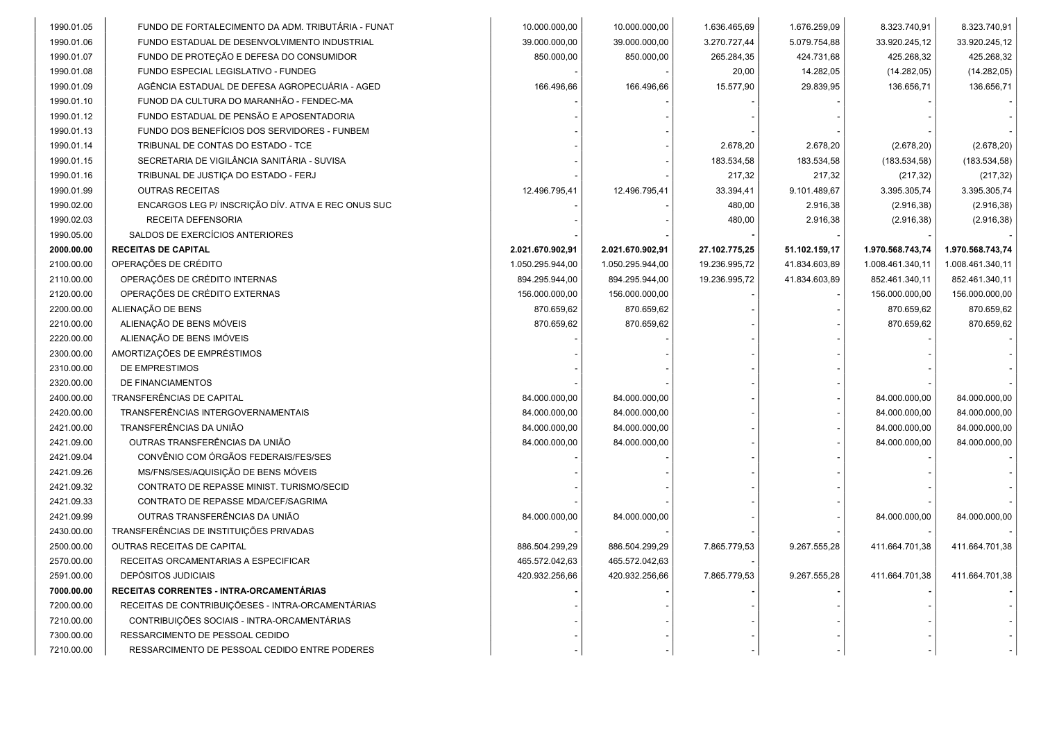| 1990.01.05 | FUNDO DE FORTALECIMENTO DA ADM. TRIBUTÁRIA - FUNAT  | 10.000.000,00    | 10.000.000,00    | 1.636.465,69  | 1.676.259,09  | 8.323.740,91     | 8.323.740,91     |
|------------|-----------------------------------------------------|------------------|------------------|---------------|---------------|------------------|------------------|
| 1990.01.06 | FUNDO ESTADUAL DE DESENVOLVIMENTO INDUSTRIAL        | 39.000.000,00    | 39.000.000,00    | 3.270.727,44  | 5.079.754,88  | 33.920.245,12    | 33.920.245,12    |
| 1990.01.07 | FUNDO DE PROTEÇÃO E DEFESA DO CONSUMIDOR            | 850.000,00       | 850.000,00       | 265.284,35    | 424.731,68    | 425.268,32       | 425.268,32       |
| 1990.01.08 | FUNDO ESPECIAL LEGISLATIVO - FUNDEG                 |                  |                  | 20,00         | 14.282,05     | (14.282,05)      | (14.282,05)      |
| 1990.01.09 | AGÊNCIA ESTADUAL DE DEFESA AGROPECUÁRIA - AGED      | 166.496,66       | 166.496,66       | 15.577,90     | 29.839,95     | 136.656,71       | 136.656,71       |
| 1990.01.10 | FUNOD DA CULTURA DO MARANHÃO - FENDEC-MA            |                  |                  |               |               |                  |                  |
| 1990.01.12 | FUNDO ESTADUAL DE PENSÃO E APOSENTADORIA            |                  |                  |               |               |                  |                  |
| 1990.01.13 | FUNDO DOS BENEFÍCIOS DOS SERVIDORES - FUNBEM        |                  |                  |               |               |                  |                  |
| 1990.01.14 | TRIBUNAL DE CONTAS DO ESTADO - TCE                  |                  |                  | 2.678,20      | 2.678,20      | (2.678, 20)      | (2.678, 20)      |
| 1990.01.15 | SECRETARIA DE VIGILÂNCIA SANITÁRIA - SUVISA         |                  |                  | 183.534,58    | 183.534,58    | (183.534,58)     | (183.534,58)     |
| 1990.01.16 | TRIBUNAL DE JUSTIÇA DO ESTADO - FERJ                |                  |                  | 217,32        | 217,32        | (217, 32)        | (217, 32)        |
| 1990.01.99 | <b>OUTRAS RECEITAS</b>                              | 12.496.795,41    | 12.496.795,41    | 33.394,41     | 9.101.489,67  | 3.395.305,74     | 3.395.305,74     |
| 1990.02.00 | ENCARGOS LEG P/ INSCRIÇÃO DÍV. ATIVA E REC ONUS SUC |                  |                  | 480,00        | 2.916,38      | (2.916, 38)      | (2.916, 38)      |
| 1990.02.03 | RECEITA DEFENSORIA                                  |                  |                  | 480,00        | 2.916,38      | (2.916, 38)      | (2.916, 38)      |
| 1990.05.00 | SALDOS DE EXERCÍCIOS ANTERIORES                     |                  |                  |               |               |                  |                  |
| 2000.00.00 | <b>RECEITAS DE CAPITAL</b>                          | 2.021.670.902,91 | 2.021.670.902,91 | 27.102.775,25 | 51.102.159,17 | 1.970.568.743,74 | 1.970.568.743,74 |
| 2100.00.00 | OPERAÇÕES DE CRÉDITO                                | 1.050.295.944,00 | 1.050.295.944,00 | 19.236.995,72 | 41.834.603,89 | 1.008.461.340,11 | 1.008.461.340,11 |
| 2110.00.00 | OPERAÇÕES DE CRÉDITO INTERNAS                       | 894.295.944,00   | 894.295.944,00   | 19.236.995,72 | 41.834.603,89 | 852.461.340,11   | 852.461.340,11   |
| 2120.00.00 | OPERAÇÕES DE CRÉDITO EXTERNAS                       | 156.000.000,00   | 156.000.000,00   |               |               | 156.000.000,00   | 156.000.000,00   |
| 2200.00.00 | ALIENAÇÃO DE BENS                                   | 870.659,62       | 870.659,62       |               |               | 870.659,62       | 870.659,62       |
| 2210.00.00 | ALIENAÇÃO DE BENS MÓVEIS                            | 870.659.62       | 870.659,62       |               |               | 870.659,62       | 870.659,62       |
| 2220.00.00 | ALIENAÇÃO DE BENS IMÓVEIS                           |                  |                  |               |               |                  |                  |
| 2300.00.00 | AMORTIZAÇÕES DE EMPRÉSTIMOS                         |                  |                  |               |               |                  |                  |
| 2310.00.00 | DE EMPRESTIMOS                                      |                  |                  |               |               |                  |                  |
| 2320.00.00 | DE FINANCIAMENTOS                                   |                  |                  |               |               |                  |                  |
| 2400.00.00 | TRANSFERÊNCIAS DE CAPITAL                           | 84.000.000,00    | 84.000.000,00    |               |               | 84.000.000,00    | 84.000.000,00    |
| 2420.00.00 | TRANSFERÊNCIAS INTERGOVERNAMENTAIS                  | 84.000.000,00    | 84.000.000,00    |               |               | 84.000.000,00    | 84.000.000,00    |
| 2421.00.00 | TRANSFERÊNCIAS DA UNIÃO                             | 84.000.000,00    | 84.000.000,00    |               |               | 84.000.000,00    | 84.000.000,00    |
| 2421.09.00 | OUTRAS TRANSFERÊNCIAS DA UNIÃO                      | 84.000.000,00    | 84.000.000,00    |               |               | 84.000.000,00    | 84.000.000,00    |
| 2421.09.04 | CONVÊNIO COM ÓRGÃOS FEDERAIS/FES/SES                |                  |                  |               |               |                  |                  |
| 2421.09.26 | MS/FNS/SES/AQUISIÇÃO DE BENS MÓVEIS                 |                  |                  |               |               |                  |                  |
| 2421.09.32 | CONTRATO DE REPASSE MINIST. TURISMO/SECID           |                  |                  |               |               |                  |                  |
| 2421.09.33 | CONTRATO DE REPASSE MDA/CEF/SAGRIMA                 |                  |                  |               |               |                  |                  |
| 2421.09.99 | OUTRAS TRANSFERÊNCIAS DA UNIÃO                      | 84.000.000,00    | 84.000.000,00    |               |               | 84.000.000,00    | 84.000.000,00    |
| 2430.00.00 | TRANSFERÊNCIAS DE INSTITUIÇÕES PRIVADAS             |                  |                  |               |               |                  |                  |
| 2500.00.00 | <b>OUTRAS RECEITAS DE CAPITAL</b>                   | 886.504.299.29   | 886.504.299,29   | 7.865.779,53  | 9.267.555,28  | 411.664.701,38   | 411.664.701,38   |
| 2570.00.00 | RECEITAS ORCAMENTARIAS A ESPECIFICAR                | 465.572.042,63   | 465.572.042,63   |               |               |                  |                  |
| 2591.00.00 | DEPÓSITOS JUDICIAIS                                 | 420.932.256,66   | 420.932.256.66   | 7.865.779,53  | 9.267.555,28  | 411.664.701,38   | 411.664.701,38   |
| 7000.00.00 | RECEITAS CORRENTES - INTRA-ORCAMENTÁRIAS            |                  |                  |               |               |                  |                  |
| 7200.00.00 | RECEITAS DE CONTRIBUIÇÕESES - INTRA-ORCAMENTÁRIAS   |                  |                  |               |               |                  |                  |
| 7210.00.00 | CONTRIBUIÇÕES SOCIAIS - INTRA-ORCAMENTÁRIAS         |                  |                  |               |               |                  |                  |
| 7300.00.00 | RESSARCIMENTO DE PESSOAL CEDIDO                     |                  |                  |               |               |                  |                  |
| 7210.00.00 | RESSARCIMENTO DE PESSOAL CEDIDO ENTRE PODERES       |                  |                  |               |               |                  |                  |